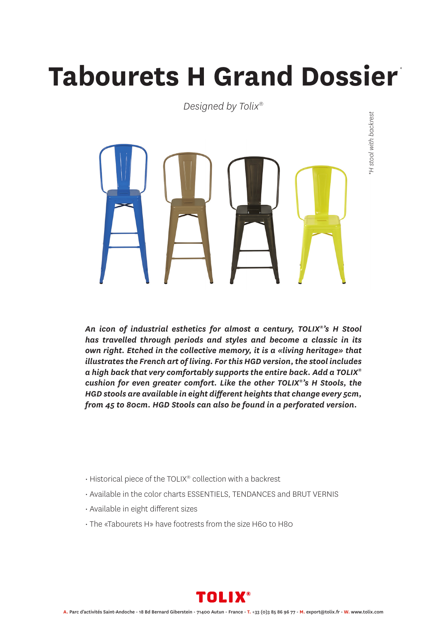## **Tabourets H Grand Dossier** *\**

*Designed by Tolix®*



*An icon of industrial esthetics for almost a century, TOLIX®'s H Stool has travelled through periods and styles and become a classic in its own right. Etched in the collective memory, it is a «living heritage» that illustrates the French art of living. For this HGD version, the stool includes a high back that very comfortably supports the entire back. Add a TOLIX® cushion for even greater comfort. Like the other TOLIX®'s H Stools, the HGD stools are available in eight different heights that change every 5cm, from 45 to 80cm. HGD Stools can also be found in a perforated version.*

- Historical piece of the TOLIX® collection with a backrest
- Available in the color charts ESSENTIELS, TENDANCES and BRUT VERNIS
- Available in eight different sizes
- The «Tabourets H» have footrests from the size H60 to H80